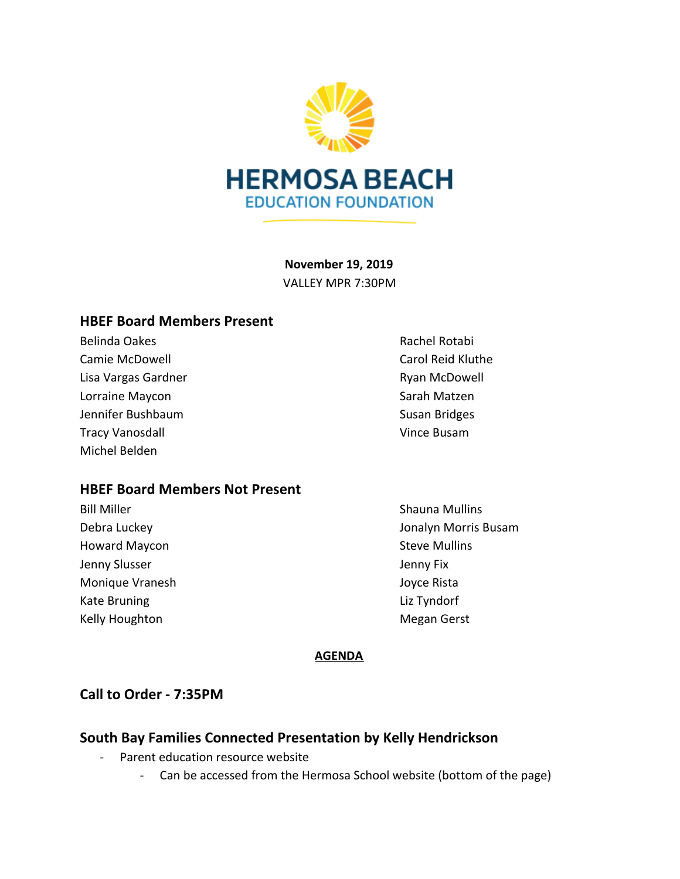

**November 19, 2019** VALLEY MPR 7:30PM

### **HBEF Board Members Present**

Belinda Oakes **Rachel Rotabi** Rachel Rotabi Camie McDowell Carol Reid Kluthe Lisa Vargas Gardner **Ryan McDowell** Lorraine Maycon **Sarah Matzen** Sarah Matzen Jennifer Bushbaum Susan Bridges Tracy Vanosdall **Vince Busam** Michel Belden

# **HBEF Board Members Not Present**

- Howard Maycon **Steve Mulling** Jenny Slusser **Jenny Fix** Monique Vranesh **Joyce Rista** Kate Bruning **Liz Tyndorf** Kelly Houghton **Megan Gerst** Megan Gerst
- 

Bill Miller Shauna Mullins Debra Luckey Jonalyn Morris Busam

### **AGENDA**

# **Call to Order - 7:35PM**

# **South Bay Families Connected Presentation by Kelly Hendrickson**

- Parent education resource website
	- Can be accessed from the Hermosa School website (bottom of the page)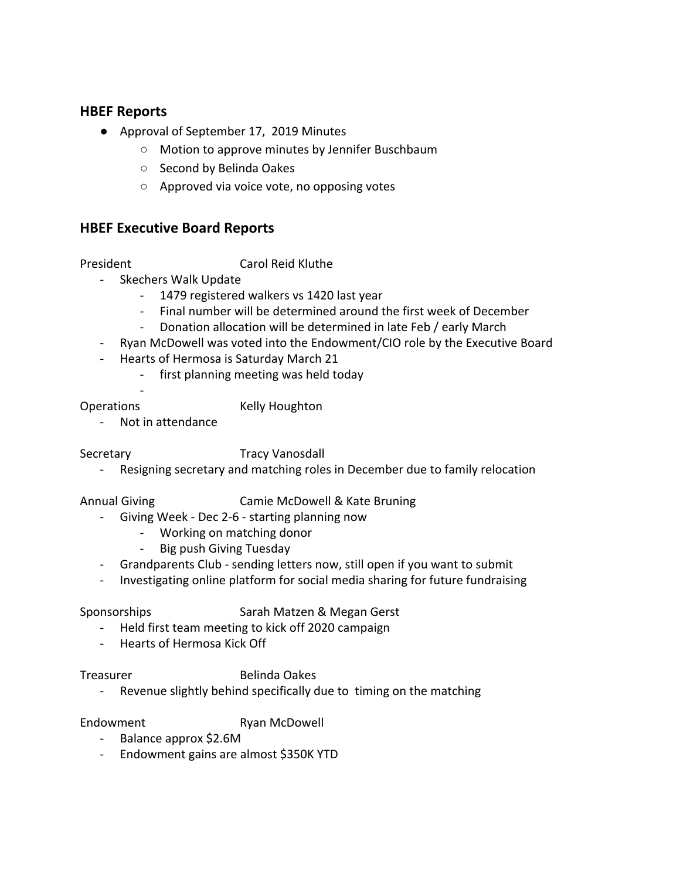### **HBEF Reports**

- Approval of September 17, 2019 Minutes
	- Motion to approve minutes by Jennifer Buschbaum
	- Second by Belinda Oakes
	- Approved via voice vote, no opposing votes

### **HBEF Executive Board Reports**

President Carol Reid Kluthe

- Skechers Walk Update
	- 1479 registered walkers vs 1420 last year
	- Final number will be determined around the first week of December
	- Donation allocation will be determined in late Feb / early March
- Ryan McDowell was voted into the Endowment/CIO role by the Executive Board
- Hearts of Hermosa is Saturday March 21
	- first planning meeting was held today
	-

Operations Kelly Houghton

- Not in attendance

-

### Secretary Tracy Vanosdall

Resigning secretary and matching roles in December due to family relocation

Annual Giving Camie McDowell & Kate Bruning

- Giving Week Dec 2-6 starting planning now
	- Working on matching donor
	- Big push Giving Tuesday
- Grandparents Club sending letters now, still open if you want to submit
- Investigating online platform for social media sharing for future fundraising

- Sponsorships Sarah Matzen & Megan Gerst
	- Held first team meeting to kick off 2020 campaign
	- Hearts of Hermosa Kick Off

### Treasurer Belinda Oakes

- Revenue slightly behind specifically due to timing on the matching

Endowment Ryan McDowell

- Balance approx \$2.6M
- Endowment gains are almost \$350K YTD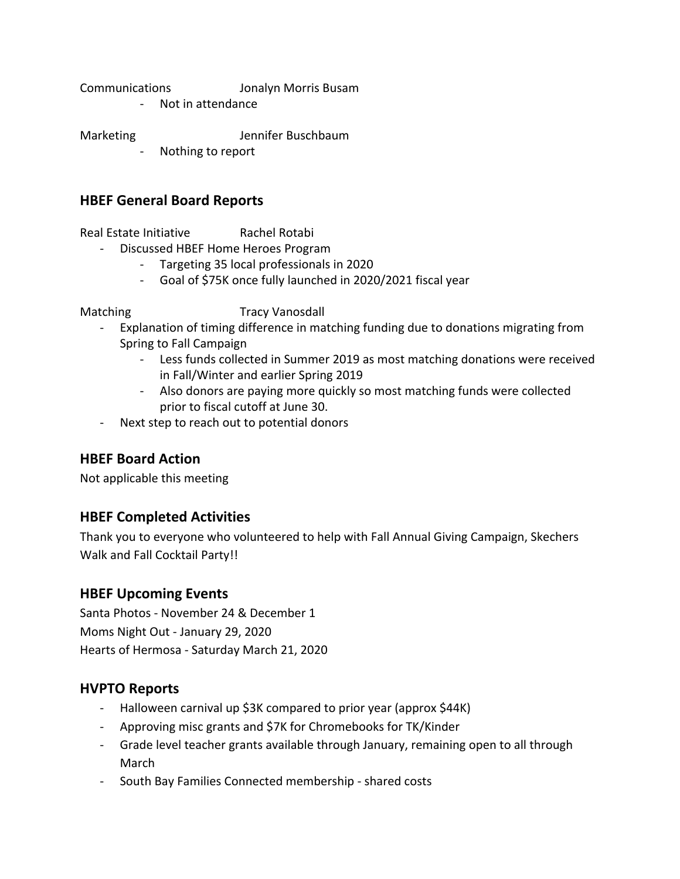Communications Jonalyn Morris Busam

- Not in attendance

Marketing Jennifer Buschbaum

Nothing to report

# **HBEF General Board Reports**

Real Estate Initiative Rachel Rotabi

- Discussed HBEF Home Heroes Program
	- Targeting 35 local professionals in 2020
	- Goal of \$75K once fully launched in 2020/2021 fiscal year

Matching Tracy Vanosdall

- Explanation of timing difference in matching funding due to donations migrating from Spring to Fall Campaign
	- Less funds collected in Summer 2019 as most matching donations were received in Fall/Winter and earlier Spring 2019
	- Also donors are paying more quickly so most matching funds were collected prior to fiscal cutoff at June 30.
- Next step to reach out to potential donors

# **HBEF Board Action**

Not applicable this meeting

# **HBEF Completed Activities**

Thank you to everyone who volunteered to help with Fall Annual Giving Campaign, Skechers Walk and Fall Cocktail Party!!

# **HBEF Upcoming Events**

Santa Photos - November 24 & December 1 Moms Night Out - January 29, 2020 Hearts of Hermosa - Saturday March 21, 2020

# **HVPTO Reports**

- Halloween carnival up \$3K compared to prior year (approx \$44K)
- Approving misc grants and \$7K for Chromebooks for TK/Kinder
- Grade level teacher grants available through January, remaining open to all through March
- South Bay Families Connected membership shared costs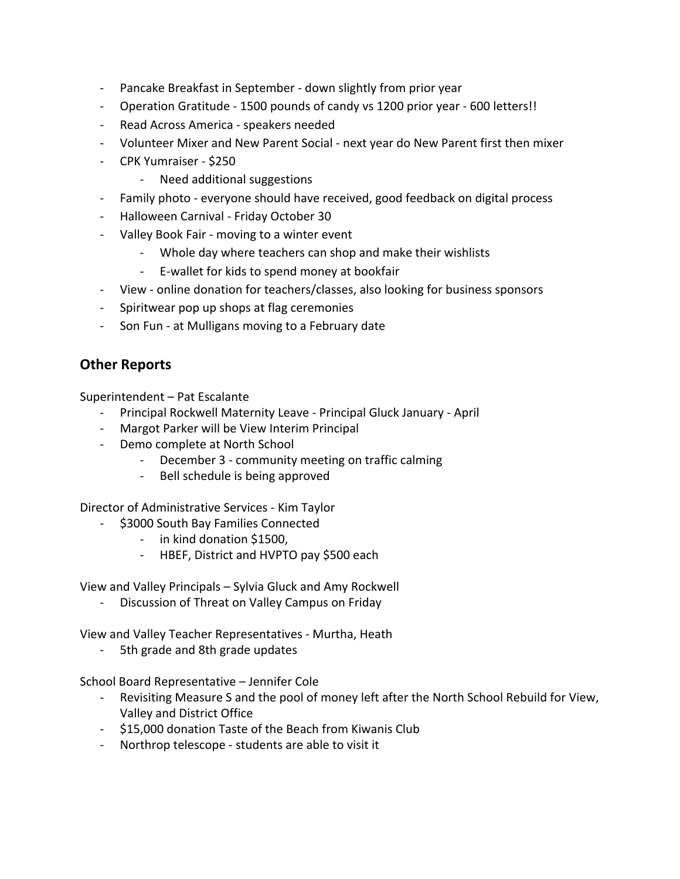- Pancake Breakfast in September down slightly from prior year
- Operation Gratitude 1500 pounds of candy vs 1200 prior year 600 letters!!
- Read Across America speakers needed
- Volunteer Mixer and New Parent Social next year do New Parent first then mixer
- CPK Yumraiser \$250
	- Need additional suggestions
- Family photo everyone should have received, good feedback on digital process
- Halloween Carnival Friday October 30
- Valley Book Fair moving to a winter event
	- Whole day where teachers can shop and make their wishlists
	- E-wallet for kids to spend money at bookfair
- View online donation for teachers/classes, also looking for business sponsors
- Spiritwear pop up shops at flag ceremonies
- Son Fun at Mulligans moving to a February date

# **Other Reports**

Superintendent – Pat Escalante

- Principal Rockwell Maternity Leave Principal Gluck January April
- Margot Parker will be View Interim Principal
- Demo complete at North School
	- December 3 community meeting on traffic calming
	- Bell schedule is being approved

Director of Administrative Services - Kim Taylor

- \$3000 South Bay Families Connected
	- in kind donation \$1500,
	- HBEF, District and HVPTO pay \$500 each

View and Valley Principals – Sylvia Gluck and Amy Rockwell

Discussion of Threat on Valley Campus on Friday

View and Valley Teacher Representatives - Murtha, Heath

5th grade and 8th grade updates

School Board Representative – Jennifer Cole

- Revisiting Measure S and the pool of money left after the North School Rebuild for View, Valley and District Office
- \$15,000 donation Taste of the Beach from Kiwanis Club
- Northrop telescope students are able to visit it